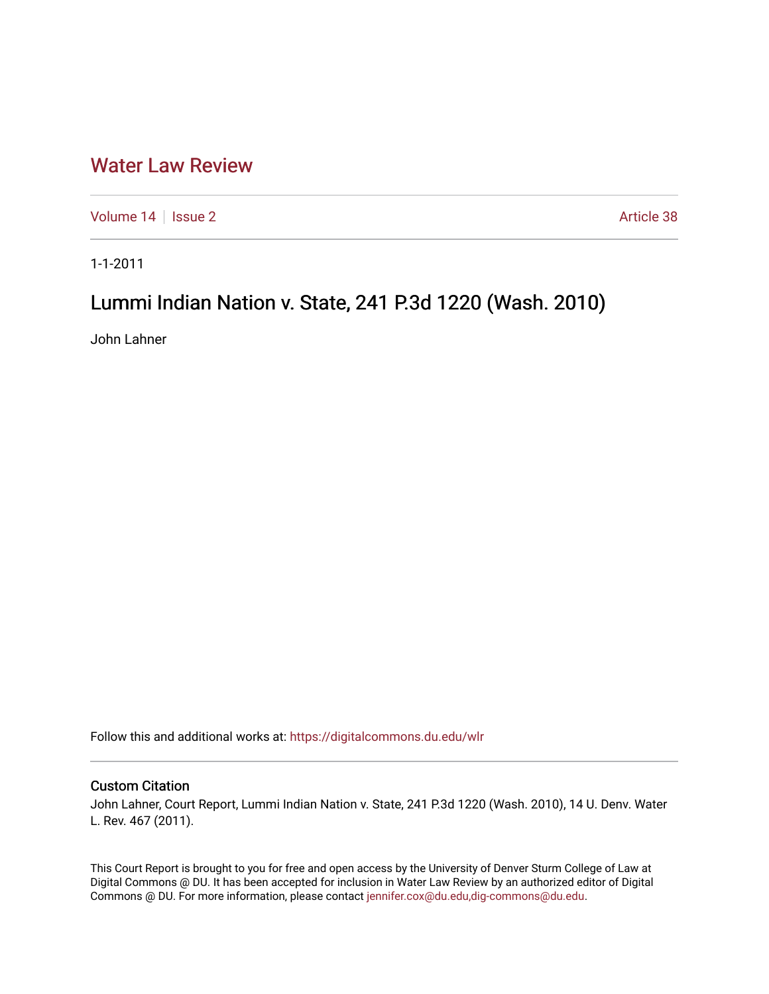## [Water Law Review](https://digitalcommons.du.edu/wlr)

[Volume 14](https://digitalcommons.du.edu/wlr/vol14) | [Issue 2](https://digitalcommons.du.edu/wlr/vol14/iss2) Article 38

1-1-2011

# Lummi Indian Nation v. State, 241 P.3d 1220 (Wash. 2010)

John Lahner

Follow this and additional works at: [https://digitalcommons.du.edu/wlr](https://digitalcommons.du.edu/wlr?utm_source=digitalcommons.du.edu%2Fwlr%2Fvol14%2Fiss2%2F38&utm_medium=PDF&utm_campaign=PDFCoverPages) 

### Custom Citation

John Lahner, Court Report, Lummi Indian Nation v. State, 241 P.3d 1220 (Wash. 2010), 14 U. Denv. Water L. Rev. 467 (2011).

This Court Report is brought to you for free and open access by the University of Denver Sturm College of Law at Digital Commons @ DU. It has been accepted for inclusion in Water Law Review by an authorized editor of Digital Commons @ DU. For more information, please contact [jennifer.cox@du.edu,dig-commons@du.edu.](mailto:jennifer.cox@du.edu,dig-commons@du.edu)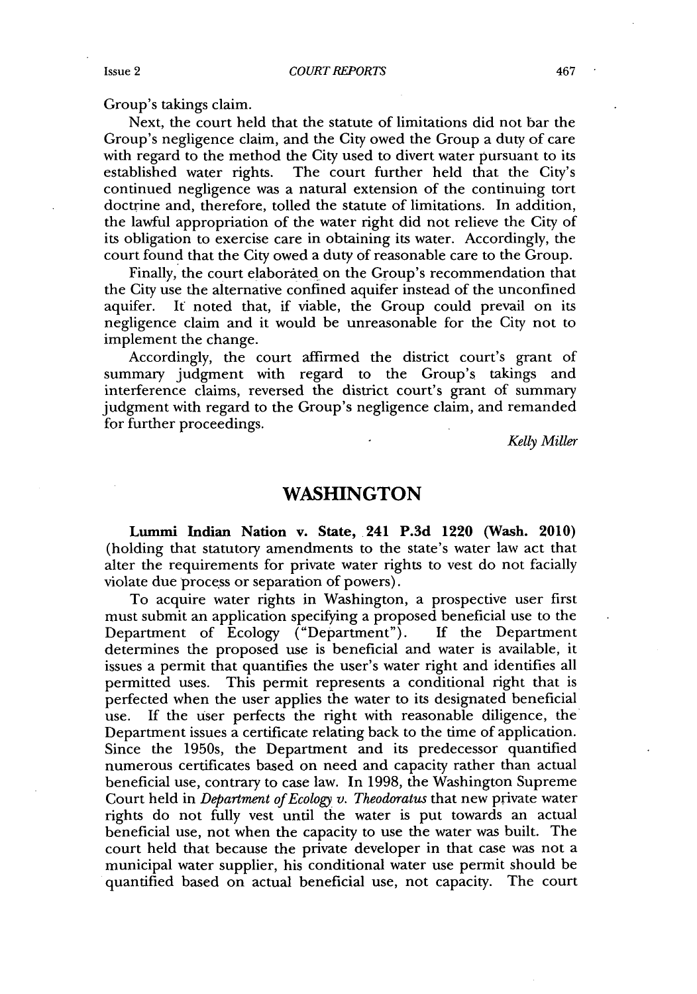Group's takings claim.

Next, the court held that the statute of limitations did not bar the Group's negligence claim, and the City owed the Group a duty of care with regard to the method the City used to divert water pursuant to its established water rights. The court further held that the City's continued negligence was a natural extension of the continuing tort doctrine and, therefore, tolled the statute of limitations. In addition, the lawful appropriation of the water right did not relieve the City of its obligation to exercise care in obtaining its water. Accordingly, the court found that the City owed a duty of reasonable care to the Group.

Finally, the court elaborated on the Group's recommendation that the City use the alternative confined aquifer instead of the unconfined aquifer. **It** noted that, if viable, the Group could prevail on its negligence claim and it would be unreasonable for the City not to implement the change.

Accordingly, the court affirmed the district court's grant of summary judgment with regard to the Group's takings and interference claims, reversed the district court's grant of summary judgment with regard to the Group's negligence claim, and remanded for further proceedings.

*Kelly Miller*

### **WASHINGTON**

Lummi Indian Nation v. State, 241 P.3d 1220 (Wash. 2010) (holding that statutory amendments to the state's water law act that alter the requirements for private water rights to vest do not facially violate due process or separation of powers).

To acquire water rights in Washington, a prospective user first must submit an application specifying a proposed beneficial use to the Department of Ecology ("Department"). **If** the Department determines the proposed use is beneficial and water is available, it issues a permit that quantifies the user's water right and identifies all permitted uses. This permit represents a conditional right that is perfected when the user applies the water to its designated beneficial use. **If** the user perfects the right with reasonable diligence, the Department issues a certificate relating back to the time of application. Since the 1950s, the Department and its predecessor quantified numerous certificates based on need and capacity rather than actual beneficial use, contrary to case law. In **1998,** the Washington Supreme Court held in *Department of Ecology v. Theodoratus* that new private water rights do not fully vest until the water is put towards an actual beneficial use, not when the capacity to use the water was built. The court held that because the private developer in that case was not a municipal water supplier, his conditional water use permit should be quantified based on actual beneficial use, not capacity. The court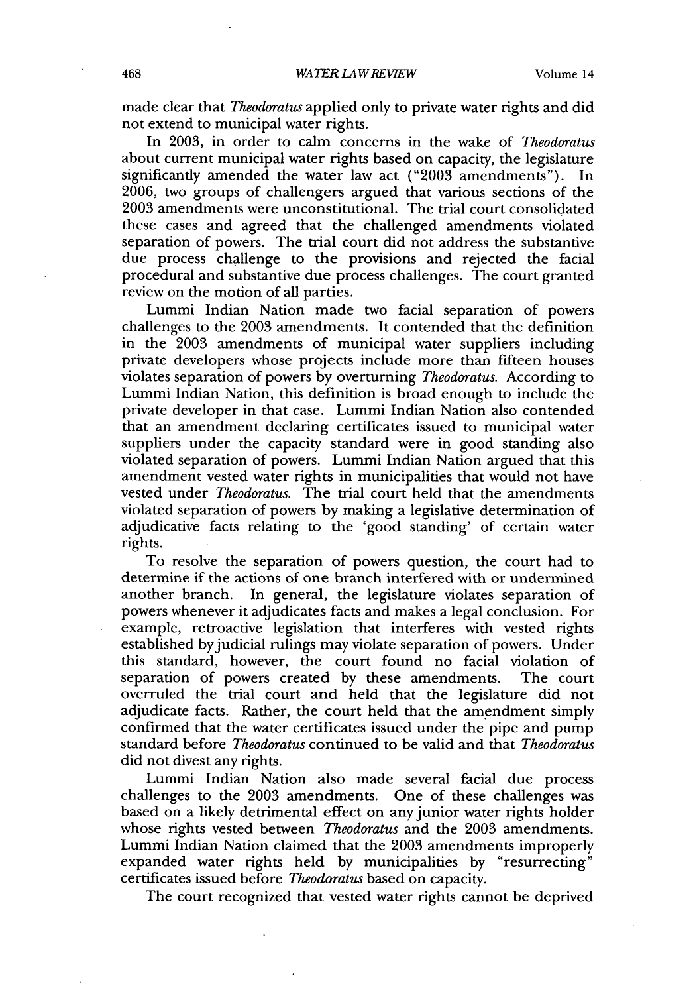made clear that *Theodoratus* applied only to private water rights and did not extend to municipal water rights.

In **2003,** in order to calm concerns in the wake of *Theodoratus* about current municipal water rights based on capacity, the legislature significantly amended the water law act **("2003** amendments"). In **2006,** two groups of challengers argued that various sections of the **2003** amendments were unconstitutional. The trial court consolidated these cases and agreed that the challenged amendments violated separation of powers. The trial court did not address the substantive due process challenge to the provisions and rejected the facial procedural and substantive due process challenges. The court granted review on the motion of all parties.

Lummi Indian Nation made two facial separation of powers challenges to the **2003** amendments. It contended that the definition in the **2003** amendments of municipal water suppliers including private developers whose projects include more than fifteen houses violates separation of powers **by** overturning *Theodoratus.* According to Lummi Indian Nation, this definition is broad enough to include the private developer in that case. Lummi Indian Nation also contended that an amendment declaring certificates issued to municipal water suppliers under the capacity standard were in good standing also violated separation of powers. Lummi Indian Nation argued that this amendment vested water rights in municipalities that would not have vested under *Theodoratus.* The trial court held that the amendments violated separation of powers **by** making a legislative determination of adjudicative facts relating to the 'good standing' of certain water rights.

To resolve the separation of powers question, the court had to determine if the actions of one branch interfered with or undermined another branch. In general, the legislature violates separation of powers whenever it adjudicates facts and makes a legal conclusion. For example, retroactive legislation that interferes with vested rights established by judicial rulings may violate separation of powers. Under this standard, however, the court found no facial violation of separation of powers created **by** these amendments. The court overruled the trial court and held that the legislature did not adjudicate facts. Rather, the court held that the amendment simply confirmed that the water certificates issued under the pipe and pump standard before *Theodoratus* continued to be valid and that *Theodoratus* did not divest any rights.

Lummi Indian Nation also made several facial due process challenges to the **2003** amendments. One of these challenges was based on a likely detrimental effect on any junior water rights holder whose rights vested between *Theodoratus* and the **2003** amendments. Lummi Indian Nation claimed that the **2003** amendments improperly expanded water rights held **by** municipalities **by** "resurrecting" certificates issued before *Theodoratus* based on capacity.

The court recognized that vested water rights cannot be deprived